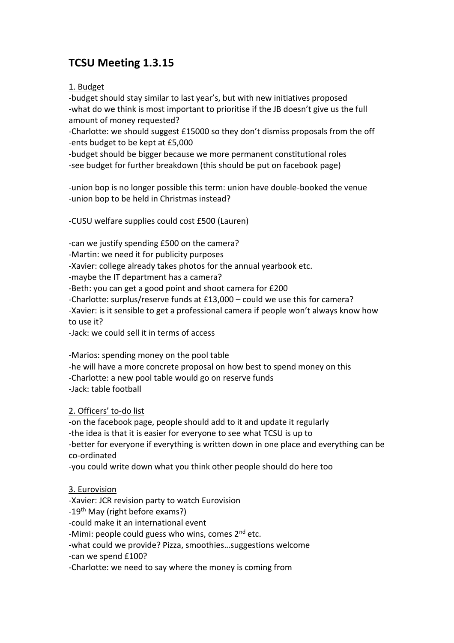# **TCSU Meeting 1.3.15**

1. Budget

-budget should stay similar to last year's, but with new initiatives proposed -what do we think is most important to prioritise if the JB doesn't give us the full amount of money requested?

-Charlotte: we should suggest £15000 so they don't dismiss proposals from the off -ents budget to be kept at £5,000

-budget should be bigger because we more permanent constitutional roles -see budget for further breakdown (this should be put on facebook page)

-union bop is no longer possible this term: union have double-booked the venue -union bop to be held in Christmas instead?

-CUSU welfare supplies could cost £500 (Lauren)

-can we justify spending £500 on the camera?

-Martin: we need it for publicity purposes

-Xavier: college already takes photos for the annual yearbook etc.

-maybe the IT department has a camera?

-Beth: you can get a good point and shoot camera for £200

-Charlotte: surplus/reserve funds at £13,000 – could we use this for camera?

-Xavier: is it sensible to get a professional camera if people won't always know how to use it?

-Jack: we could sell it in terms of access

-Marios: spending money on the pool table -he will have a more concrete proposal on how best to spend money on this -Charlotte: a new pool table would go on reserve funds

-Jack: table football

2. Officers' to-do list

-on the facebook page, people should add to it and update it regularly -the idea is that it is easier for everyone to see what TCSU is up to -better for everyone if everything is written down in one place and everything can be co-ordinated

-you could write down what you think other people should do here too

## 3. Eurovision

-Xavier: JCR revision party to watch Eurovision

-19<sup>th</sup> May (right before exams?)

-could make it an international event

-Mimi: people could guess who wins, comes  $2<sup>nd</sup>$  etc.

-what could we provide? Pizza, smoothies…suggestions welcome

-can we spend £100?

-Charlotte: we need to say where the money is coming from